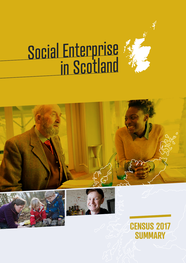

# Social Enterprise in Scotland







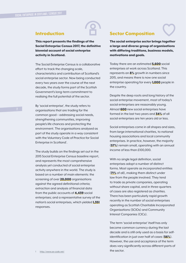### Introduction

This report presents the findings of the Social Enterprise Census 2017, the definitive biennial account of social enterprise activity in Scotland.

The Social Enterprise Census is a collaborative effort to track the changing scale, characteristics and contribution of Scotland's social enterprise sector. Now being conducted every two years over the course of the next decade, the study forms part of the Scottish Government's long-term commitment to realising the full potential of the sector.

By 'social enterprise', the study refers to organisations that are trading for the common good – addressing social needs, strengthening communities, improving people's life chances and protecting the environment. The organisations analysed as part of the study operate in a way consistent with the Voluntary Code of Practice for Social Enterprise in Scotland<sup>1</sup>.

The study builds on the findings set out in the 2015 Social Enterprise Census baseline report, and represents the most comprehensive analysis yet conducted of social enterprise activity anywhere in the world. The study is based on a number of main elements: the screening of over **20,000** organisations against the agreed definitional criteria; extraction and analysis of financial data from the public accounts of 4,439 social enterprises; and a representative survey of the nation's social enterprises, which yielded 1,351 responses.

### Sector Composition

The social enterprise sector brings together a large and diverse group of organisations with differing traditions, business models, motivations and goals.

Today there are an estimated 5,600 social enterprises at work across Scotland. This represents an 8% growth in numbers since 2015, and means there is now one social enterprise operating for every **1,000** people in the country.

Despite the deep roots and long history of the social enterprise movement, most of today's social enterprises are reasonably young. Almost **600** new social enterprises have formed in the last two years and 34% of all social enterprises are ten years old or less.

Social enterprises come in all shapes and sizes, from large international charities, to national housing associations and local community enterprises. In practice, however, the majority (57%) remain small, operating with an annual income of less than £100,000.

With no single legal definition, social enterprises adopt a number of distinct forms. Most operate as incorporated entities (71% of all), making them distinct under law from the people involved. They tend to trade as private companies, operating without share capital, and in three-quarters of cases are also registered as charities. There has been particularly rapid growth recently in the number of social enterprises operating as Scottish Charitable Incorporated Organisations (SCIOs) and Community Interest Companies (CICs).

The term 'social enterprise' itself has only become common currency during the last decade and is still only used as a basis for selfidentification in just over half of cases (56%). However, the use and acceptance of the term does vary significantly across different parts of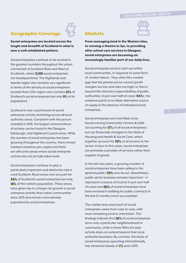### Geographic Coverage

Social enterprises are located across the length and breadth of Scotland in what is now a well-established pattern.

Social enterprises continue to be located in the greatest numbers throughout the urban central belt of Scotland (East and West of Scotland), where **3,105** social enterprises are headquartered. The Highlands and Islands region also remains very significant in terms of the density of social enterprises located there (the region now contains 21% of Scotland's social enterprises but only **9%** of its population).

Scotland is now a patchwork of social enterprise activity stretching across all local authority areas. Consistent with the picture revealed in 2015, the largest concentrations of activity can be found in the Glasgow, Edinburgh, and Highland Council areas. While the number of social enterprises has been growing throughout the country, there remain marked variations per capita and there are still some areas where social enterprise activity has not yet fully taken hold.

Social enterprises continue to play a particularly important and distinctive role in rural Scotland. Rural areas now account for **34%** of Scotland's social enterprises but only 18% of the nation's population. These areas have given rise to a larger net growth in social enterprise activity than urban communities since 2015 and remain more densely populated by social enterprises.

### **Markets**



From managing land in the Western Isles, to running a theatre in Ayr, to providing after school care services in Glasgow, social enterprises are becoming an increasingly familiar part of our daily lives.

Social enterprises tend to start out within local communities, in response to some form of 'market failure'. They often fill a market gap that the private sector cannot (profit margins too low and risks too high) or that is beyond the statutory responsibilities of public authorities. In just over half of cases (54%), the evidence points to no likely alternative source of supply in the absence of individual social enterprises.

Social enterprises are most likely to be found running Community Centres & Halls (accounting for 17% of all social enterprises) but are financially strongest in the fields of Housing and Health & Social Care, which together account for 70% of all income to the sector. In four-in-five cases, social enterprises are primarily a provider of services rather than supplier of goods.

In the last two years, a growing number of social enterprises have been selling to the general public (79% now do so). Nonetheless, public sector business remains important – it represents a source of income in just over half of cases and 20% of social enterprises have been involved in bidding for public contracts in the last 12 months (most successfully).

The market area and reach of social enterprises varies from case to case, with most remaining local in orientation. The findings indicate that 26% of social enterprises serve only a particular neighbourhood or community, while in three-fifths of cases activity does not extend beyond their local authority boundary. By contrast, the share of social enterprises operating internationally has remained steady at **7%** since 2015.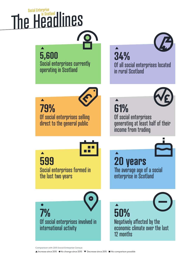## The Headlines Social Enterprise

### **5,600**

**79%**

 $\blacktriangle$ 

Social enterprises currently operating in Scotland

# **34%**



Of all social enterprises located in rural Scotland





Of social enterprises generating at least half of their income from trading

**599** Social enterprises formed in the last two years

Of social enterprises selling direct to the general public

**20 years**

 $\blacktriangle$ 



The average age of a social enterprise in Scotland

**7%** Of social enterprises involved in international activity

**50%** Negatively affected by the economic climate over the last 12 months

Comparison with 2015 Social Enterprise Census: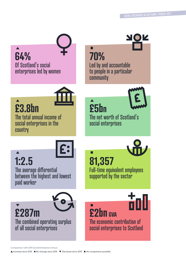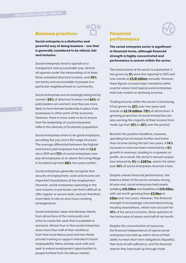### Business practices

Social enterprise is a distinctive and powerful way of doing business – one that is generally considered to be ethical, fair and inclusive.

Social enterprises tend to operate in a transparent and accountable way. Almost all operate under the stewardship of at least three unrelated directors/trustees, and 70% are led by and accountable to people in a particular neighbourhood or community.

Social enterprises are increasingly being led by women (53% of directors/trustees and 64% of paid leaders are women) and they are more likely to have female leadership in place than businesses in other parts of the economy. However, there is more work to do to ensure that the leadership of social enterprises reflects the diversity of Scotland's population.

Social enterprises strive to be good employers, providing fair pay and a flat wage structure. The average differential between the highest and lowest paid employee has held at 1:2.5 since 2015 and **72%** of social enterprises now pay all employees at or above the Living Wage in Scotland (up from 68% two years earlier).

Social enterprises generally recognise that security of employment, work and income are important foundations of fair employment. However, social enterprises operating in the care industry in particular can find it difficult to offer regular or secure work, and are therefore more likely to rely on zero hours working arrangements.

Social enterprises value and develop talents from all sections of the community and strive to create fair work that is available to everyone. Almost four-in-five social enterprises draw more than half of their workforce from their local labour pool and two-thirds provide training or support intended to boost employability. Many actively work with and seek to extend employment opportunities to people furthest from the labour market.

### Financial performance

The social enterprise sector is significant in financial terms, although financial strength is highly concentrated and performance is uneven within the sector.

The total income of the sector is substantial. It has grown by 5% since first reported in 2015 and now stands at **£3.81 billion** annually. However, these figures conceal major variations within a sector where most typical social enterprises hold only modest or declining incomes.

Trading income within the sector is increasing. It has grown by 22% over two years and stands at **£2.74 billion (70%** of all income). A growing proportion of social enterprises are also earning the majority of their income from trade (up from **51%** to **61%** over the period).

Beneath the positive headlines, however, spending has increased further and faster than income during the last two years. A 14% increase in costs has been matched by a 5% growth in revenues, leading to a squeeze on profits. As a result, the sector's annual surplus has reduced by 5% to £287m, and in the latest year 41% of social enterprises returned a loss.

Despite uneven financial performance, the balance sheet of the sector remains strong. At year end, social enterprises held assets totalling **£15.59bn** and liabilities of **£10.55bn**, with net worth growing from **£3.9bn** to **£5bn** over two years. However, this financial strength is increasingly concentrated among housing associations, which now account for 41% of the sector's income, three-quarters of the total value of assets and half of net worth.

Despite this concentration of resources, the financial independence of typical social enterprises has held up well in terms of their ability to meet short term obligations (liquidity), their level of self-sufficiency, and the financial reserve they have built up through trade.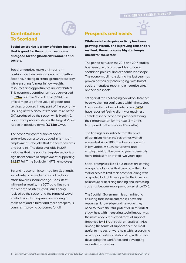### **Contribution** To Scotland



Social enterprise is a way of doing business that is good for the national economy and good for the global environment and society.

Social enterprises make an important contribution to inclusive economic growth in Scotland, helping to create greater prosperity while ensuring fairness in how wealth, resources and opportunities are distributed. This economic contribution has been valued at **£2bn** of Gross Value Added (GVA), the official measure of the value of goods and services produced in any part of the economy. Housing activity accounts for one-third of the GVA produced by the sector, while Health & Social Care providers deliver the largest Value Added in absolute terms (£753m GVA).

The economic contribution of social enterprises can also be gauged in terms of employment – the jobs that the sector creates and sustains. The data available in 2017 indicates that the social enterprise sector is a significant source of employment, supporting 81,357 Full Time Equivalent (FTE) employees.

Beyond its economic contribution, Scotland's social enterprise sector is part of a global effort towards social change. Consistent with earlier results, the 2017 data illustrate the breadth of interrelated issues being tackled by the sector and the range of ways in which social enterprises are working to make Scotland a fairer and more prosperous country, improving outcomes for all.

### Prospects and needs

While social enterprise activity has been growing overall, and is proving reasonably resilient, there are some big challenges ahead for the sector.

The period between the 2015 and 2017 studies has been one of considerable change in Scotland's political and economic landscape. The economic climate during the last year has proven particularly challenging, with half of social enterprises reporting a negative effect on their prospects.

Set against this challenging backdrop, there has been weakening confidence within the sector. Over one-third of social enterprises (37%) have reported feeling slightly or much less confident in the economic prospects facing their organisation for the next 12 months (compared to the previous 12 months).

The findings also indicate that the level of optimism within the sector has waned somewhat since 2015. The forecast growth in key variables such as turnover and employment for the coming year is generally more modest than stated two years ago.

Social enterprises like all businesses are coming up against obstacles that can cause them to stall or serve to limit their potential. Along with a reported lack of time/capacity, the influence of insecure or declining funding and increasing costs has become more pronounced since 2015.

The Scottish Government is committed to ensuring that social enterprises have the resources, knowledge and networks they need to reach their full potential. In this latest study, help with measuring social impact was the most widely requested form of support (reported by 44% of social enterprises). Also among the forms of support deemed most useful to the sector were help with researching new opportunities, collaborating with others, developing the workforce, and developing marketing strategies.